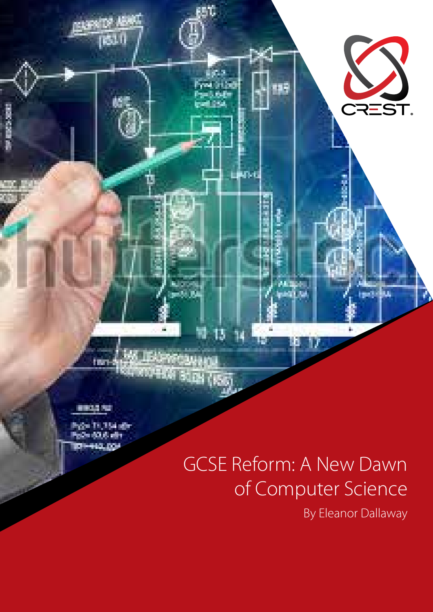● 田本 大 大

Post 11,154 de Politica (1919) 410. DOJ

t mart

# GCSE Reform: A New Dawn of Computer Science

Magasi

Г.

indi sa

B

17

50

in s **WORK** 

68 BB

**KOPEKA BOOK (ISB)** 

IJ

es de

LBOX

nő.

By Eleanor Dallaway

24 Jul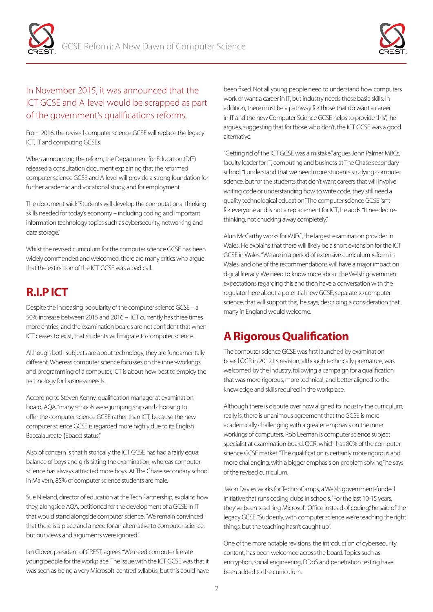



#### In November 2015, it was announced that the ICT GCSE and A-level would be scrapped as part of the government's qualifications reforms.

From 2016, the revised computer science GCSE will replace the legacy ICT, IT and computing GCSEs.

When announcing the reform, the Department for Education (DfE) released a consultation document explaining that the reformed computer science GCSE and A-level will provide a strong foundation for further academic and vocational study, and for employment.

The document said: "Students will develop the computational thinking skills needed for today's economy – including coding and important information technology topics such as cybersecurity, networking and data storage."

Whilst the revised curriculum for the computer science GCSE has been widely commended and welcomed, there are many critics who argue that the extinction of the ICT GCSE was a bad call.

# **R.I.P ICT**

Despite the increasing popularity of the computer science GCSE – a 50% increase between 2015 and 2016 – ICT currently has three times more entries, and the examination boards are not confident that when ICT ceases to exist, that students will migrate to computer science.

Although both subjects are about technology, they are fundamentally different. Whereas computer science focusses on the inner-workings and programming of a computer, ICT is about how best to employ the technology for business needs.

According to Steven Kenny, qualification manager at examination board, AQA, "many schools were jumping ship and choosing to offer the computer science GCSE rather than ICT, because the new computer science GCSE is regarded more highly due to its English Baccalaureate (Ebacc) status."

Also of concern is that historically the ICT GCSE has had a fairly equal balance of boys and girls sitting the examination, whereas computer science has always attracted more boys. At The Chase secondary school in Malvern, 85% of computer science students are male.

Sue Nieland, director of education at the Tech Partnership, explains how they, alongside AQA, petitioned for the development of a GCSE in IT that would stand alongside computer science. "We remain convinced that there is a place and a need for an alternative to computer science, but our views and arguments were ignored."

Ian Glover, president of CREST, agrees. "We need computer literate young people for the workplace. The issue with the ICT GCSE was that it was seen as being a very Microsoft-centred syllabus, but this could have been fixed. Not all young people need to understand how computers work or want a career in IT, but industry needs these basic skills. In addition, there must be a pathway for those that do want a career in IT and the new Computer Science GCSE helps to provide this", he argues, suggesting that for those who don't, the ICT GCSE was a good alternative.

"Getting rid of the ICT GCSE was a mistake," argues John Palmer MBCs, faculty leader for IT, computing and business at The Chase secondary school. "I understand that we need more students studying computer science, but for the students that don't want careers that will involve writing code or understanding how to write code, they still need a quality technological education." The computer science GCSE isn't for everyone and is not a replacement for ICT, he adds. "It needed rethinking, not chucking away completely."

Alun McCarthy works for WJEC, the largest examination provider in Wales. He explains that there will likely be a short extension for the ICT GCSE in Wales. "We are in a period of extensive curriculum reform in Wales, and one of the recommendations will have a major impact on digital literacy. We need to know more about the Welsh government expectations regarding this and then have a conversation with the regulator here about a potential new GCSE, separate to computer science, that will support this," he says, describing a consideration that many in England would welcome.

## **A Rigorous Qualification**

The computer science GCSE was first launched by examination board OCR in 2012.Its revision, although technically premature, was welcomed by the industry, following a campaign for a qualification that was more rigorous, more technical, and better aligned to the knowledge and skills required in the workplace.

Although there is dispute over how aligned to industry the curriculum, really is, there is unanimous agreement that the GCSE is more academically challenging with a greater emphasis on the inner workings of computers. Rob Leeman is computer science subject specialist at examination board, OCR, which has 80% of the computer science GCSE market. "The qualification is certainly more rigorous and more challenging, with a bigger emphasis on problem solving," he says of the revised curriculum.

Jason Davies works for TechnoCamps, a Welsh government-funded initiative that runs coding clubs in schools. "For the last 10-15 years, they've been teaching Microsoft Office instead of coding," he said of the legacy GCSE. "Suddenly, with computer science we're teaching the right things, but the teaching hasn't caught up".

One of the more notable revisions, the introduction of cybersecurity content, has been welcomed across the board. Topics such as encryption, social engineering, DDoS and penetration testing have been added to the curriculum.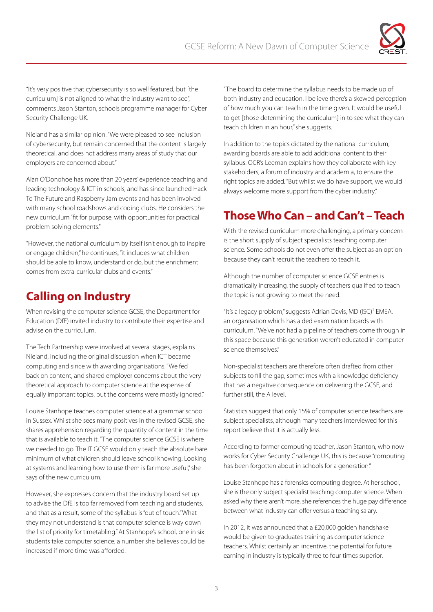

"It's very positive that cybersecurity is so well featured, but [the curriculum] is not aligned to what the industry want to see", comments Jason Stanton, schools programme manager for Cyber Security Challenge UK.

Nieland has a similar opinion. "We were pleased to see inclusion of cybersecurity, but remain concerned that the content is largely theoretical, and does not address many areas of study that our employers are concerned about."

Alan O'Donohoe has more than 20 years' experience teaching and leading technology & ICT in schools, and has since launched Hack To The Future and Raspberry Jam events and has been involved with many school roadshows and coding clubs. He considers the new curriculum "fit for purpose, with opportunities for practical problem solving elements."

"However, the national curriculum by itself isn't enough to inspire or engage children," he continues, "it includes what children should be able to know, understand or do, but the enrichment comes from extra-curricular clubs and events."

# **Calling on Industry**

When revising the computer science GCSE, the Department for Education (DfE) invited industry to contribute their expertise and advise on the curriculum.

The Tech Partnership were involved at several stages, explains Nieland, including the original discussion when ICT became computing and since with awarding organisations. "We fed back on content, and shared employer concerns about the very theoretical approach to computer science at the expense of equally important topics, but the concerns were mostly ignored."

Louise Stanhope teaches computer science at a grammar school in Sussex. Whilst she sees many positives in the revised GCSE, she shares apprehension regarding the quantity of content in the time that is available to teach it. "The computer science GCSE is where we needed to go. The IT GCSE would only teach the absolute bare minimum of what children should leave school knowing. Looking at systems and learning how to use them is far more useful," she says of the new curriculum.

However, she expresses concern that the industry board set up to advise the DfE is too far removed from teaching and students, and that as a result, some of the syllabus is "out of touch." What they may not understand is that computer science is way down the list of priority for timetabling." At Stanhope's school, one in six students take computer science; a number she believes could be increased if more time was afforded.

"The board to determine the syllabus needs to be made up of both industry and education. I believe there's a skewed perception of how much you can teach in the time given. It would be useful to get [those determining the curriculum] in to see what they can teach children in an hour," she suggests.

In addition to the topics dictated by the national curriculum, awarding boards are able to add additional content to their syllabus. OCR's Leeman explains how they collaborate with key stakeholders, a forum of industry and academia, to ensure the right topics are added. "But whilst we do have support, we would always welcome more support from the cyber industry."

# **Those Who Can – and Can't – Teach**

With the revised curriculum more challenging, a primary concern is the short supply of subject specialists teaching computer science. Some schools do not even offer the subject as an option because they can't recruit the teachers to teach it.

Although the number of computer science GCSE entries is dramatically increasing, the supply of teachers qualified to teach the topic is not growing to meet the need.

"It's a legacy problem," suggests Adrian Davis, MD (ISC)2 EMEA, an organisation which has aided examination boards with curriculum. "We've not had a pipeline of teachers come through in this space because this generation weren't educated in computer science themselves."

Non-specialist teachers are therefore often drafted from other subjects to fill the gap, sometimes with a knowledge deficiency that has a negative consequence on delivering the GCSE, and further still, the A level.

Statistics suggest that only 15% of computer science teachers are subject specialists, although many teachers interviewed for this report believe that it is actually less.

According to former computing teacher, Jason Stanton, who now works for Cyber Security Challenge UK, this is because "computing has been forgotten about in schools for a generation."

Louise Stanhope has a forensics computing degree. At her school, she is the only subject specialist teaching computer science. When asked why there aren't more, she references the huge pay difference between what industry can offer versus a teaching salary.

In 2012, it was announced that a £20,000 golden handshake would be given to graduates training as computer science teachers. Whilst certainly an incentive, the potential for future earning in industry is typically three to four times superior.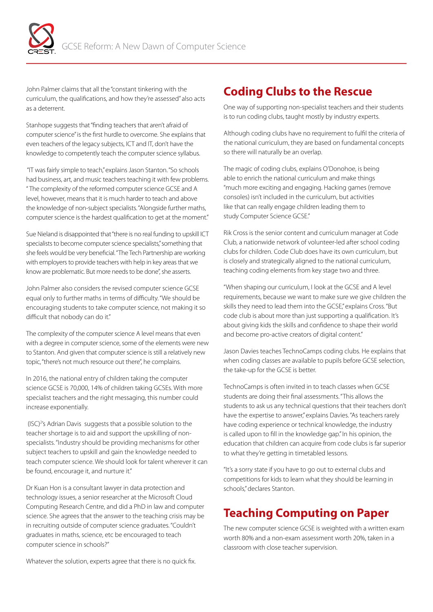

John Palmer claims that all the "constant tinkering with the curriculum, the qualifications, and how they're assessed" also acts as a deterrent.

Stanhope suggests that "finding teachers that aren't afraid of computer science" is the first hurdle to overcome. She explains that even teachers of the legacy subjects, ICT and IT, don't have the knowledge to competently teach the computer science syllabus.

 "IT was fairly simple to teach," explains Jason Stanton. "So schools had business, art, and music teachers teaching it with few problems. " The complexity of the reformed computer science GCSE and A level, however, means that it is much harder to teach and above the knowledge of non-subject specialists. "Alongside further maths, computer science is the hardest qualification to get at the moment."

Sue Nieland is disappointed that "there is no real funding to upskill ICT specialists to become computer science specialists," something that she feels would be very beneficial. "The Tech Partnership are working with employers to provide teachers with help in key areas that we know are problematic. But more needs to be done", she asserts.

John Palmer also considers the revised computer science GCSE equal only to further maths in terms of difficulty. "We should be encouraging students to take computer science, not making it so difficult that nobody can do it."

The complexity of the computer science A level means that even with a degree in computer science, some of the elements were new to Stanton. And given that computer science is still a relatively new topic, "there's not much resource out there", he complains.

In 2016, the national entry of children taking the computer science GCSE is 70,000, 14% of children taking GCSEs. With more specialist teachers and the right messaging, this number could increase exponentially.

(ISC)<sup>2</sup>'s Adrian Davis suggests that a possible solution to the teacher shortage is to aid and support the upskilling of nonspecialists. "Industry should be providing mechanisms for other subject teachers to upskill and gain the knowledge needed to teach computer science. We should look for talent wherever it can be found, encourage it, and nurture it."

Dr Kuan Hon is a consultant lawyer in data protection and technology issues, a senior researcher at the Microsoft Cloud Computing Research Centre, and did a PhD in law and computer science. She agrees that the answer to the teaching crisis may be in recruiting outside of computer science graduates. "Couldn't graduates in maths, science, etc be encouraged to teach computer science in schools?"

#### Whatever the solution, experts agree that there is no quick fix.

#### **Coding Clubs to the Rescue**

One way of supporting non-specialist teachers and their students is to run coding clubs, taught mostly by industry experts.

Although coding clubs have no requirement to fulfil the criteria of the national curriculum, they are based on fundamental concepts so there will naturally be an overlap.

The magic of coding clubs, explains O'Donohoe, is being able to enrich the national curriculum and make things "much more exciting and engaging. Hacking games (remove consoles) isn't included in the curriculum, but activities like that can really engage children leading them to study Computer Science GCSE."

Rik Cross is the senior content and curriculum manager at Code Club, a nationwide network of volunteer-led after school coding clubs for children. Code Club does have its own curriculum, but is closely and strategically aligned to the national curriculum, teaching coding elements from key stage two and three.

"When shaping our curriculum, I look at the GCSE and A level requirements, because we want to make sure we give children the skills they need to lead them into the GCSE," explains Cross. "But code club is about more than just supporting a qualification. It's about giving kids the skills and confidence to shape their world and become pro-active creators of digital content."

Jason Davies teaches TechnoCamps coding clubs. He explains that when coding classes are available to pupils before GCSE selection, the take-up for the GCSE is better.

TechnoCamps is often invited in to teach classes when GCSE students are doing their final assessments. "This allows the students to ask us any technical questions that their teachers don't have the expertise to answer," explains Davies. "As teachers rarely have coding experience or technical knowledge, the industry is called upon to fill in the knowledge gap." In his opinion, the education that children can acquire from code clubs is far superior to what they're getting in timetabled lessons.

"It's a sorry state if you have to go out to external clubs and competitions for kids to learn what they should be learning in schools," declares Stanton.

## **Teaching Computing on Paper**

The new computer science GCSE is weighted with a written exam worth 80% and a non-exam assessment worth 20%, taken in a classroom with close teacher supervision.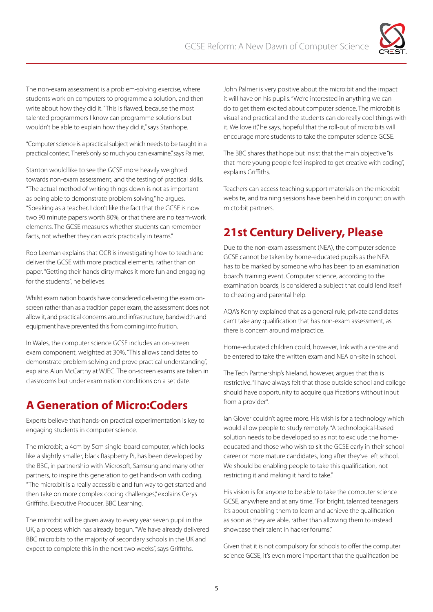

students work on computers to programme a solution, and then write about how they did it. "This is flawed, because the most talented programmers I know can programme solutions but wouldn't be able to explain how they did it," says Stanhope.

"Computer science is a practical subject which needs to be taught in a practical context. There's only so much you can examine," says Palmer.

The non-exam assessment is a problem-solving exercise, where<br>the non-exam assessment is a problem-solving exercise, where<br>when a total transmitter and then withdom the state of proprime a solution, and then<br>when a cost how Stanton would like to see the GCSE more heavily weighted towards non-exam assessment, and the testing of practical skills. "The actual method of writing things down is not as important as being able to demonstrate problem solving," he argues. "Speaking as a teacher, I don't like the fact that the GCSE is now two 90 minute papers worth 80%, or that there are no team-work elements. The GCSE measures whether students can remember facts, not whether they can work practically in teams."

Rob Leeman explains that OCR is investigating how to teach and deliver the GCSE with more practical elements, rather than on paper. "Getting their hands dirty makes it more fun and engaging for the students", he believes.

Whilst examination boards have considered delivering the exam onscreen rather than as a tradition paper exam, the assessment does not allow it, and practical concerns around infrastructure, bandwidth and equipment have prevented this from coming into fruition.

In Wales, the computer science GCSE includes an on-screen exam component, weighted at 30%. "This allows candidates to demonstrate problem solving and prove practical understanding", explains Alun McCarthy at WJEC. The on-screen exams are taken in classrooms but under examination conditions on a set date.

## **A Generation of Micro:Coders**

Experts believe that hands-on practical experimentation is key to engaging students in computer science.

The micro:bit, a 4cm by 5cm single-board computer, which looks like a slightly smaller, black Raspberry Pi, has been developed by the BBC, in partnership with Microsoft, Samsung and many other partners, to inspire this generation to get hands-on with coding. "The micro:bit is a really accessible and fun way to get started and then take on more complex coding challenges," explains Cerys Griffiths, Executive Producer, BBC Learning.

The micro:bit will be given away to every year seven pupil in the UK, a process which has already begun. "We have already delivered BBC micro:bits to the majority of secondary schools in the UK and expect to complete this in the next two weeks", says Griffiths.

John Palmer is very positive about the micro:bit and the impact it will have on his pupils. "We're interested in anything we can do to get them excited about computer science. The micro:bit is visual and practical and the students can do really cool things with it. We love it," he says, hopeful that the roll-out of micro:bits will encourage more students to take the computer science GCSE.

The BBC shares that hope but insist that the main objective "is that more young people feel inspired to get creative with coding", explains Griffiths.

Teachers can access teaching support materials on the micro:bit website, and training sessions have been held in conjunction with micto:bit partners.

# **21st Century Delivery, Please**

Due to the non-exam assessment (NEA), the computer science GCSE cannot be taken by home-educated pupils as the NEA has to be marked by someone who has been to an examination board's training event. Computer science, according to the examination boards, is considered a subject that could lend itself to cheating and parental help.

AQA's Kenny explained that as a general rule, private candidates can't take any qualification that has non-exam assessment, as there is concern around malpractice.

Home-educated children could, however, link with a centre and be entered to take the written exam and NEA on-site in school.

The Tech Partnership's Nieland, however, argues that this is restrictive. "I have always felt that those outside school and college should have opportunity to acquire qualifications without input from a provider".

Ian Glover couldn't agree more. His wish is for a technology which would allow people to study remotely. "A technological-based solution needs to be developed so as not to exclude the homeeducated and those who wish to sit the GCSE early in their school career or more mature candidates, long after they've left school. We should be enabling people to take this qualification, not restricting it and making it hard to take."

His vision is for anyone to be able to take the computer science GCSE, anywhere and at any time. "For bright, talented teenagers it's about enabling them to learn and achieve the qualification as soon as they are able, rather than allowing them to instead showcase their talent in hacker forums."

Given that it is not compulsory for schools to offer the computer science GCSE, it's even more important that the qualification be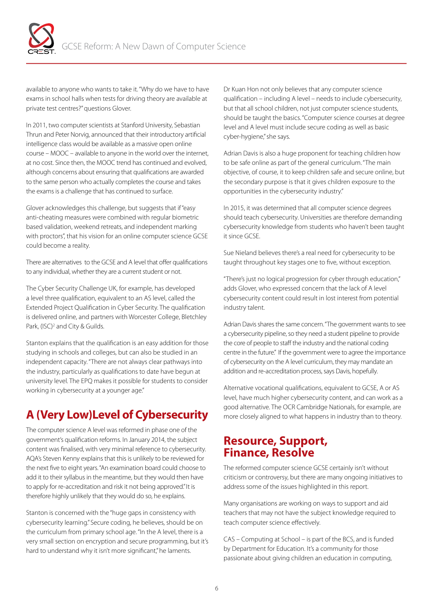

available to anyone who wants to take it. "Why do we have to have exams in school halls when tests for driving theory are available at private test centres?" questions Glover.

In 2011, two computer scientists at Stanford University, Sebastian Thrun and Peter Norvig, announced that their introductory artificial intelligence class would be available as a massive open online course – MOOC – available to anyone in the world over the internet, at no cost. Since then, the MOOC trend has continued and evolved, although concerns about ensuring that qualifications are awarded to the same person who actually completes the course and takes the exams is a challenge that has continued to surface.

Glover acknowledges this challenge, but suggests that if "easy anti-cheating measures were combined with regular biometric based validation, weekend retreats, and independent marking with proctors", that his vision for an online computer science GCSE could become a reality.

There are alternatives to the GCSE and A level that offer qualifications to any individual, whether they are a current student or not.

The Cyber Security Challenge UK, for example, has developed a level three qualification, equivalent to an AS level, called the Extended Project Qualification in Cyber Security. The qualification is delivered online, and partners with Worcester College, Bletchley Park, (ISC)<sup>2</sup> and City & Guilds.

Stanton explains that the qualification is an easy addition for those studying in schools and colleges, but can also be studied in an independent capacity. "There are not always clear pathways into the industry, particularly as qualifications to date have begun at university level. The EPQ makes it possible for students to consider working in cybersecurity at a younger age."

## **A (Very Low)Level of Cybersecurity**

The computer science A level was reformed in phase one of the government's qualification reforms. In January 2014, the subject content was finalised, with very minimal reference to cybersecurity. AQA's Steven Kenny explains that this is unlikely to be reviewed for the next five to eight years. "An examination board could choose to add it to their syllabus in the meantime, but they would then have to apply for re-accreditation and risk it not being approved." It is therefore highly unlikely that they would do so, he explains.

Stanton is concerned with the "huge gaps in consistency with cybersecurity learning." Secure coding, he believes, should be on the curriculum from primary school age. "In the A level, there is a very small section on encryption and secure programming, but it's hard to understand why it isn't more significant," he laments.

Dr Kuan Hon not only believes that any computer science qualification – including A level – needs to include cybersecurity, but that all school children, not just computer science students, should be taught the basics. "Computer science courses at degree level and A level must include secure coding as well as basic cyber-hygiene," she says.

Adrian Davis is also a huge proponent for teaching children how to be safe online as part of the general curriculum. "The main objective, of course, it to keep children safe and secure online, but the secondary purpose is that it gives children exposure to the opportunities in the cybersecurity industry."

In 2015, it was determined that all computer science degrees should teach cybersecurity. Universities are therefore demanding cybersecurity knowledge from students who haven't been taught it since GCSE.

Sue Nieland believes there's a real need for cybersecurity to be taught throughout key stages one to five, without exception.

"There's just no logical progression for cyber through education," adds Glover, who expressed concern that the lack of A level cybersecurity content could result in lost interest from potential industry talent.

Adrian Davis shares the same concern. "The government wants to see a cybersecurity pipeline, so they need a student pipeline to provide the core of people to staff the industry and the national coding centre in the future." If the government were to agree the importance of cybersecurity on the A level curriculum, they may mandate an addition and re-accreditation process, says Davis, hopefully.

Alternative vocational qualifications, equivalent to GCSE, A or AS level, have much higher cybersecurity content, and can work as a good alternative. The OCR Cambridge Nationals, for example, are more closely aligned to what happens in industry than to theory.

#### **Resource, Support, Finance, Resolve**

The reformed computer science GCSE certainly isn't without criticism or controversy, but there are many ongoing initiatives to address some of the issues highlighted in this report.

Many organisations are working on ways to support and aid teachers that may not have the subject knowledge required to teach computer science effectively.

CAS – Computing at School – is part of the BCS, and is funded by Department for Education. It's a community for those passionate about giving children an education in computing,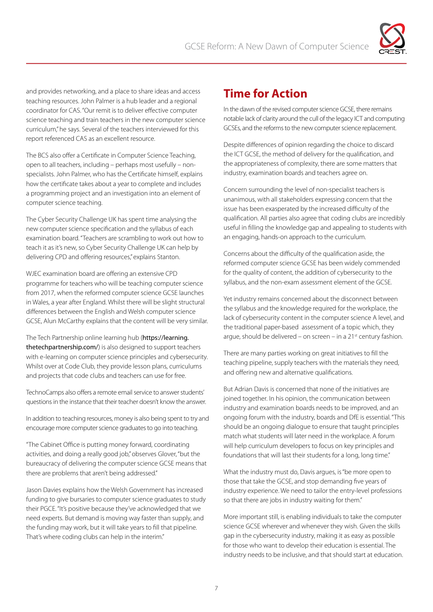

and provides networking, and a place to share ideas and access teaching resources. John Palmer is a hub leader and a regional coordinator for CAS. "Our remit is to deliver effective computer science teaching and train teachers in the new computer science curriculum," he says. Several of the teachers interviewed for this report referenced CAS as an excellent resource.

The BCS also offer a Certificate in Computer Science Teaching, open to all teachers, including – perhaps most usefully – nonspecialists. John Palmer, who has the Certificate himself, explains how the certificate takes about a year to complete and includes a programming project and an investigation into an element of computer science teaching.

The Cyber Security Challenge UK has spent time analysing the new computer science specification and the syllabus of each examination board. "Teachers are scrambling to work out how to teach it as it's new, so Cyber Security Challenge UK can help by delivering CPD and offering resources," explains Stanton.

WJEC examination board are offering an extensive CPD programme for teachers who will be teaching computer science from 2017, when the reformed computer science GCSE launches in Wales, a year after England. Whilst there will be slight structural differences between the English and Welsh computer science GCSE, Alun McCarthy explains that the content will be very similar.

The Tech Partnership online learning hub (https://learning. thetechpartnership.com/) is also designed to support teachers with e-learning on computer science principles and cybersecurity. Whilst over at Code Club, they provide lesson plans, curriculums and projects that code clubs and teachers can use for free.

TechnoCamps also offers a remote email service to answer students' questions in the instance that their teacher doesn't know the answer.

In addition to teaching resources, money is also being spent to try and encourage more computer science graduates to go into teaching.

"The Cabinet Office is putting money forward, coordinating activities, and doing a really good job," observes Glover, "but the bureaucracy of delivering the computer science GCSE means that there are problems that aren't being addressed."

Jason Davies explains how the Welsh Government has increased funding to give bursaries to computer science graduates to study their PGCE. "It's positive because they've acknowledged that we need experts. But demand is moving way faster than supply, and the funding may work, but it will take years to fill that pipeline. That's where coding clubs can help in the interim."

## **Time for Action**

In the dawn of the revised computer science GCSE, there remains notable lack of clarity around the cull of the legacy ICT and computing GCSEs, and the reforms to the new computer science replacement.

Despite differences of opinion regarding the choice to discard the ICT GCSE, the method of delivery for the qualification, and the appropriateness of complexity, there are some matters that industry, examination boards and teachers agree on.

Concern surrounding the level of non-specialist teachers is unanimous, with all stakeholders expressing concern that the issue has been exasperated by the increased difficulty of the qualification. All parties also agree that coding clubs are incredibly useful in filling the knowledge gap and appealing to students with an engaging, hands-on approach to the curriculum.

Concerns about the difficulty of the qualification aside, the reformed computer science GCSE has been widely commended for the quality of content, the addition of cybersecurity to the syllabus, and the non-exam assessment element of the GCSE.

Yet industry remains concerned about the disconnect between the syllabus and the knowledge required for the workplace, the lack of cybersecurity content in the computer science A level, and the traditional paper-based assessment of a topic which, they argue, should be delivered – on screen – in a  $21<sup>st</sup>$  century fashion.

There are many parties working on great initiatives to fill the teaching pipeline, supply teachers with the materials they need, and offering new and alternative qualifications.

But Adrian Davis is concerned that none of the initiatives are joined together. In his opinion, the communication between industry and examination boards needs to be improved, and an ongoing forum with the industry, boards and DfE is essential. "This should be an ongoing dialogue to ensure that taught principles match what students will later need in the workplace. A forum will help curriculum developers to focus on key principles and foundations that will last their students for a long, long time."

What the industry must do, Davis argues, is "be more open to those that take the GCSE, and stop demanding five years of industry experience. We need to tailor the entry-level professions so that there are jobs in industry waiting for them."

More important still, is enabling individuals to take the computer science GCSE wherever and whenever they wish. Given the skills gap in the cybersecurity industry, making it as easy as possible for those who want to develop their education is essential. The industry needs to be inclusive, and that should start at education.